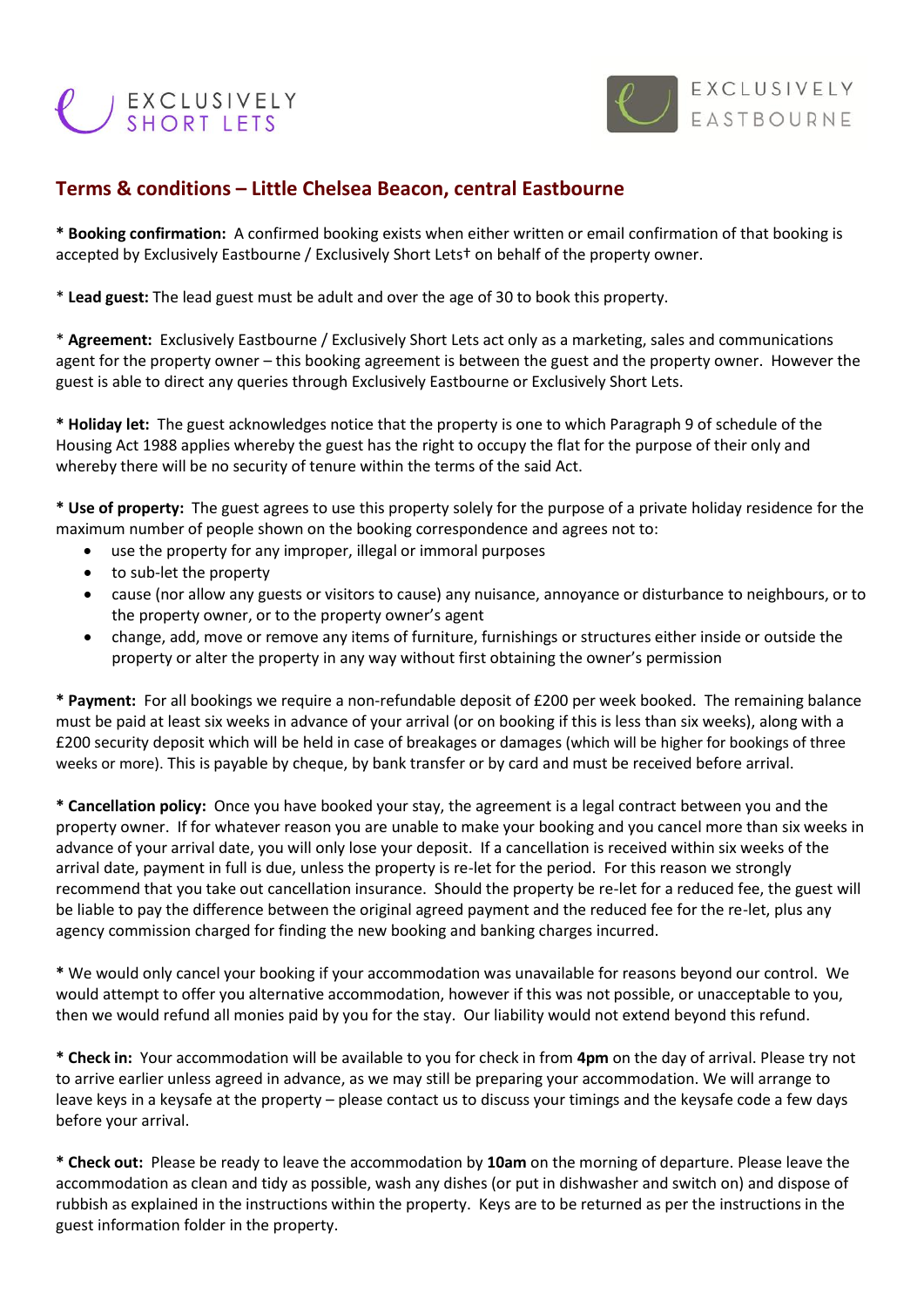## EXCLUSIVELY



## **Terms & conditions – Little Chelsea Beacon, central Eastbourne**

**\* Booking confirmation:** A confirmed booking exists when either written or email confirmation of that booking is accepted by Exclusively Eastbourne / Exclusively Short Lets† on behalf of the property owner.

\* **Lead guest:** The lead guest must be adult and over the age of 30 to book this property.

\* **Agreement:** Exclusively Eastbourne / Exclusively Short Lets act only as a marketing, sales and communications agent for the property owner – this booking agreement is between the guest and the property owner. However the guest is able to direct any queries through Exclusively Eastbourne or Exclusively Short Lets.

**\* Holiday let:** The guest acknowledges notice that the property is one to which Paragraph 9 of schedule of the Housing Act 1988 applies whereby the guest has the right to occupy the flat for the purpose of their only and whereby there will be no security of tenure within the terms of the said Act.

**\* Use of property:** The guest agrees to use this property solely for the purpose of a private holiday residence for the maximum number of people shown on the booking correspondence and agrees not to:

- use the property for any improper, illegal or immoral purposes
- to sub-let the property
- cause (nor allow any guests or visitors to cause) any nuisance, annoyance or disturbance to neighbours, or to the property owner, or to the property owner's agent
- change, add, move or remove any items of furniture, furnishings or structures either inside or outside the property or alter the property in any way without first obtaining the owner's permission

**\* Payment:** For all bookings we require a non-refundable deposit of £200 per week booked. The remaining balance must be paid at least six weeks in advance of your arrival (or on booking if this is less than six weeks), along with a £200 security deposit which will be held in case of breakages or damages (which will be higher for bookings of three weeks or more). This is payable by cheque, by bank transfer or by card and must be received before arrival.

**\* Cancellation policy:** Once you have booked your stay, the agreement is a legal contract between you and the property owner. If for whatever reason you are unable to make your booking and you cancel more than six weeks in advance of your arrival date, you will only lose your deposit. If a cancellation is received within six weeks of the arrival date, payment in full is due, unless the property is re-let for the period. For this reason we strongly recommend that you take out cancellation insurance. Should the property be re-let for a reduced fee, the guest will be liable to pay the difference between the original agreed payment and the reduced fee for the re-let, plus any agency commission charged for finding the new booking and banking charges incurred.

**\*** We would only cancel your booking if your accommodation was unavailable for reasons beyond our control. We would attempt to offer you alternative accommodation, however if this was not possible, or unacceptable to you, then we would refund all monies paid by you for the stay. Our liability would not extend beyond this refund.

**\* Check in:** Your accommodation will be available to you for check in from **4pm** on the day of arrival. Please try not to arrive earlier unless agreed in advance, as we may still be preparing your accommodation. We will arrange to leave keys in a keysafe at the property – please contact us to discuss your timings and the keysafe code a few days before your arrival.

**\* Check out:** Please be ready to leave the accommodation by **10am** on the morning of departure. Please leave the accommodation as clean and tidy as possible, wash any dishes (or put in dishwasher and switch on) and dispose of rubbish as explained in the instructions within the property. Keys are to be returned as per the instructions in the guest information folder in the property.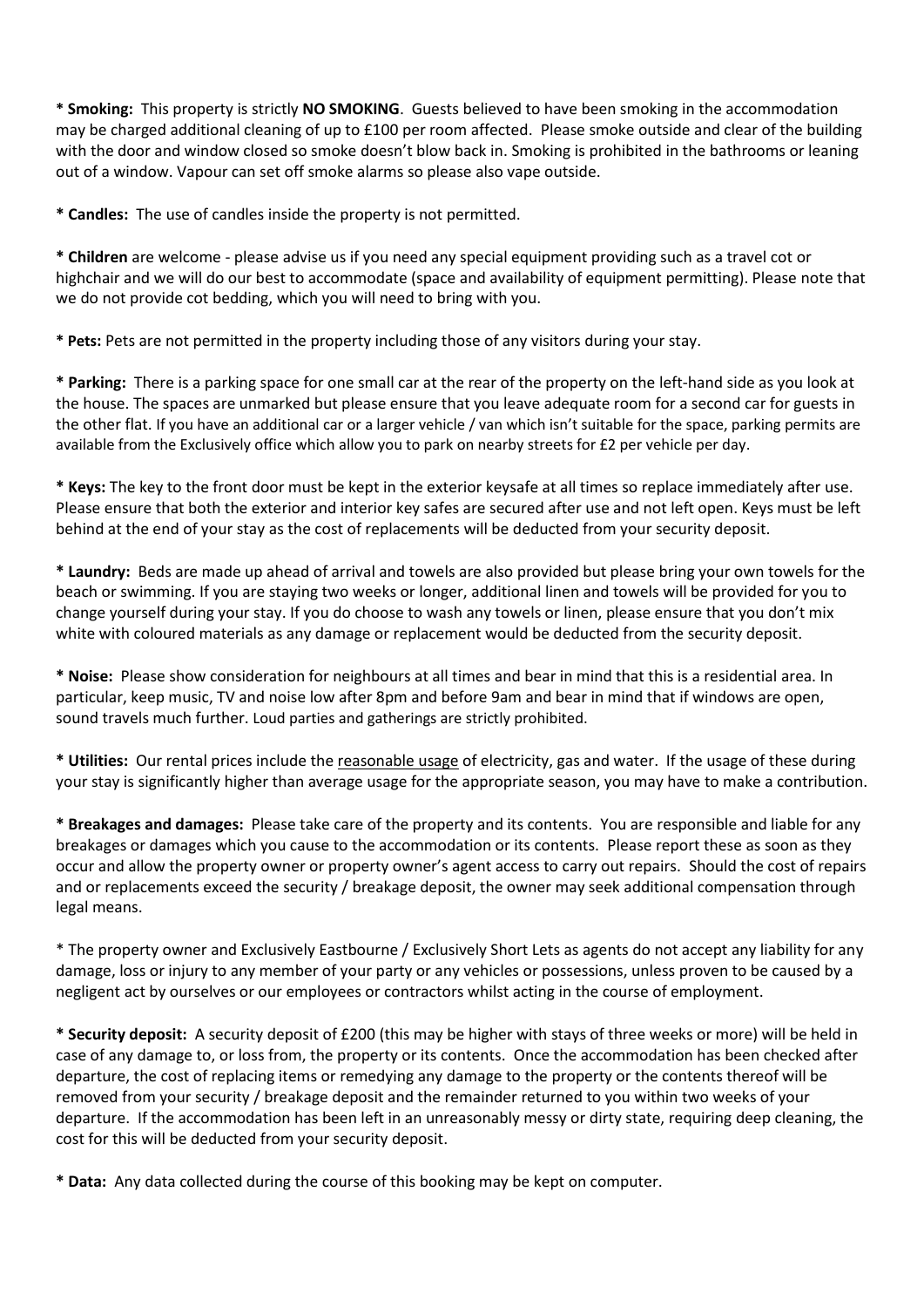**\* Smoking:** This property is strictly **NO SMOKING**. Guests believed to have been smoking in the accommodation may be charged additional cleaning of up to £100 per room affected. Please smoke outside and clear of the building with the door and window closed so smoke doesn't blow back in. Smoking is prohibited in the bathrooms or leaning out of a window. Vapour can set off smoke alarms so please also vape outside.

**\* Candles:** The use of candles inside the property is not permitted.

**\* Children** are welcome - please advise us if you need any special equipment providing such as a travel cot or highchair and we will do our best to accommodate (space and availability of equipment permitting). Please note that we do not provide cot bedding, which you will need to bring with you.

**\* Pets:** Pets are not permitted in the property including those of any visitors during your stay.

**\* Parking:** There is a parking space for one small car at the rear of the property on the left-hand side as you look at the house. The spaces are unmarked but please ensure that you leave adequate room for a second car for guests in the other flat. If you have an additional car or a larger vehicle / van which isn't suitable for the space, parking permits are available from the Exclusively office which allow you to park on nearby streets for £2 per vehicle per day.

**\* Keys:** The key to the front door must be kept in the exterior keysafe at all times so replace immediately after use. Please ensure that both the exterior and interior key safes are secured after use and not left open. Keys must be left behind at the end of your stay as the cost of replacements will be deducted from your security deposit.

**\* Laundry:** Beds are made up ahead of arrival and towels are also provided but please bring your own towels for the beach or swimming. If you are staying two weeks or longer, additional linen and towels will be provided for you to change yourself during your stay. If you do choose to wash any towels or linen, please ensure that you don't mix white with coloured materials as any damage or replacement would be deducted from the security deposit.

**\* Noise:** Please show consideration for neighbours at all times and bear in mind that this is a residential area. In particular, keep music, TV and noise low after 8pm and before 9am and bear in mind that if windows are open, sound travels much further. Loud parties and gatherings are strictly prohibited.

**\* Utilities:** Our rental prices include the reasonable usage of electricity, gas and water. If the usage of these during your stay is significantly higher than average usage for the appropriate season, you may have to make a contribution.

**\* Breakages and damages:** Please take care of the property and its contents. You are responsible and liable for any breakages or damages which you cause to the accommodation or its contents. Please report these as soon as they occur and allow the property owner or property owner's agent access to carry out repairs. Should the cost of repairs and or replacements exceed the security / breakage deposit, the owner may seek additional compensation through legal means.

\* The property owner and Exclusively Eastbourne / Exclusively Short Lets as agents do not accept any liability for any damage, loss or injury to any member of your party or any vehicles or possessions, unless proven to be caused by a negligent act by ourselves or our employees or contractors whilst acting in the course of employment.

**\* Security deposit:** A security deposit of £200 (this may be higher with stays of three weeks or more) will be held in case of any damage to, or loss from, the property or its contents. Once the accommodation has been checked after departure, the cost of replacing items or remedying any damage to the property or the contents thereof will be removed from your security / breakage deposit and the remainder returned to you within two weeks of your departure. If the accommodation has been left in an unreasonably messy or dirty state, requiring deep cleaning, the cost for this will be deducted from your security deposit.

**\* Data:** Any data collected during the course of this booking may be kept on computer.